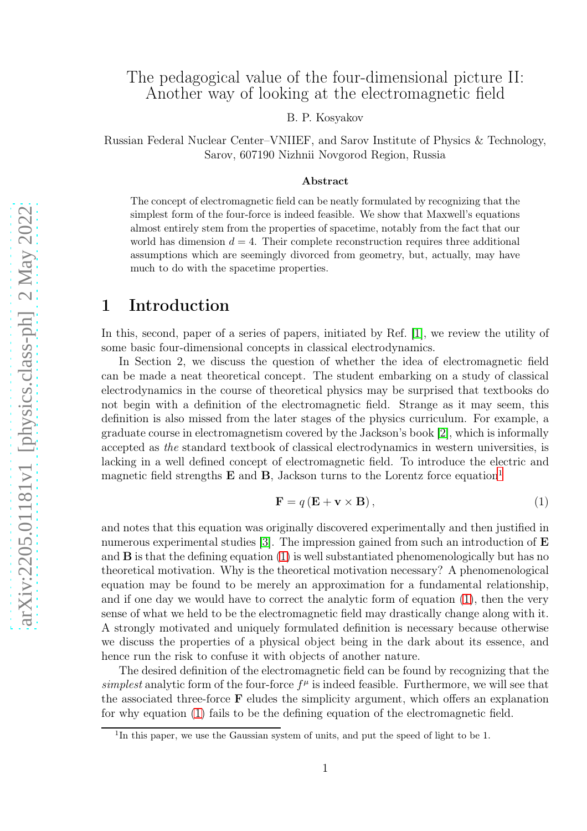B. P. Kosyakov

Russian Federal Nuclear Center–VNIIEF, and Sarov Institute of Physics & Technology, Sarov, 607190 Nizhnii Novgorod Region, Russia

#### Abstract

The concept of electromagnetic field can be neatly formulated by recognizing that the simplest form of the four-force is indeed feasible. We show that Maxwell's equations almost entirely stem from the properties of spacetime, notably from the fact that our world has dimension  $d = 4$ . Their complete reconstruction requires three additional assumptions which are seemingly divorced from geometry, but, actually, may have much to do with the spacetime properties.

# 1 Introduction

In this, second, paper of a series of papers, initiated by Ref. [\[1\]](#page-8-0), we review the utility of some basic four-dimensional concepts in classical electrodynamics.

In Section 2, we discuss the question of whether the idea of electromagnetic field can be made a neat theoretical concept. The student embarking on a study of classical electrodynamics in the course of theoretical physics may be surprised that textbooks do not begin with a definition of the electromagnetic field. Strange as it may seem, this definition is also missed from the later stages of the physics curriculum. For example, a graduate course in electromagnetism covered by the Jackson's book [\[2\]](#page-8-1), which is informally accepted as the standard textbook of classical electrodynamics in western universities, is lacking in a well defined concept of electromagnetic field. To introduce the electric and magnetic field strengths  $E$  and  $B$ , Jackson turns to the Lorentz force equation<sup>[1](#page-0-0)</sup>

<span id="page-0-1"></span>
$$
\mathbf{F} = q\left(\mathbf{E} + \mathbf{v} \times \mathbf{B}\right),\tag{1}
$$

and notes that this equation was originally discovered experimentally and then justified in numerous experimental studies [\[3\]](#page-8-2). The impression gained from such an introduction of  $\bf E$ and  $\bf{B}$  is that the defining equation [\(1\)](#page-0-1) is well substantiated phenomenologically but has no theoretical motivation. Why is the theoretical motivation necessary? A phenomenological equation may be found to be merely an approximation for a fundamental relationship, and if one day we would have to correct the analytic form of equation [\(1\)](#page-0-1), then the very sense of what we held to be the electromagnetic field may drastically change along with it. A strongly motivated and uniquely formulated definition is necessary because otherwise we discuss the properties of a physical object being in the dark about its essence, and hence run the risk to confuse it with objects of another nature.

The desired definition of the electromagnetic field can be found by recognizing that the simplest analytic form of the four-force  $f^{\mu}$  is indeed feasible. Furthermore, we will see that the associated three-force  $\bf{F}$  eludes the simplicity argument, which offers an explanation for why equation [\(1\)](#page-0-1) fails to be the defining equation of the electromagnetic field.

<span id="page-0-0"></span><sup>&</sup>lt;sup>1</sup>In this paper, we use the Gaussian system of units, and put the speed of light to be 1.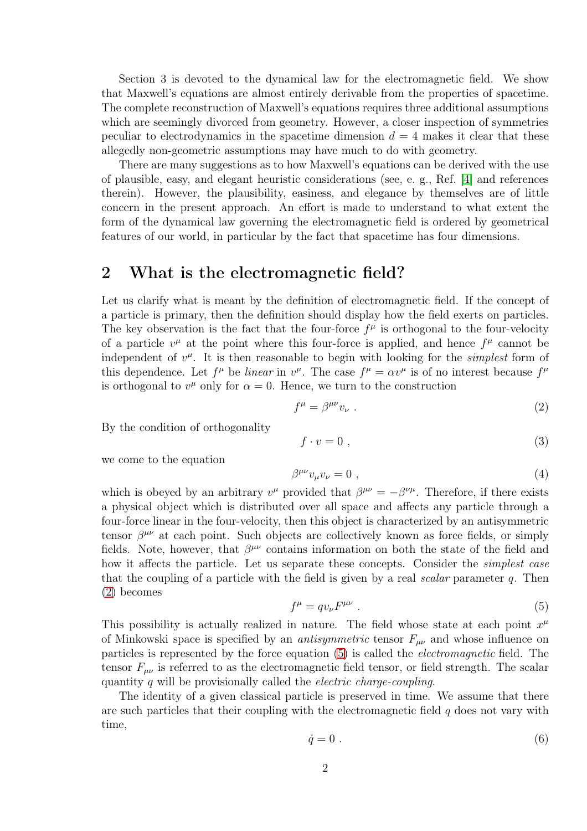Section 3 is devoted to the dynamical law for the electromagnetic field. We show that Maxwell's equations are almost entirely derivable from the properties of spacetime. The complete reconstruction of Maxwell's equations requires three additional assumptions which are seemingly divorced from geometry. However, a closer inspection of symmetries peculiar to electrodynamics in the spacetime dimension  $d = 4$  makes it clear that these allegedly non-geometric assumptions may have much to do with geometry.

There are many suggestions as to how Maxwell's equations can be derived with the use of plausible, easy, and elegant heuristic considerations (see, e. g., Ref. [\[4\]](#page-8-3) and references therein). However, the plausibility, easiness, and elegance by themselves are of little concern in the present approach. An effort is made to understand to what extent the form of the dynamical law governing the electromagnetic field is ordered by geometrical features of our world, in particular by the fact that spacetime has four dimensions.

### 2 What is the electromagnetic field?

Let us clarify what is meant by the definition of electromagnetic field. If the concept of a particle is primary, then the definition should display how the field exerts on particles. The key observation is the fact that the four-force  $f^{\mu}$  is orthogonal to the four-velocity of a particle  $v^{\mu}$  at the point where this four-force is applied, and hence  $f^{\mu}$  cannot be independent of  $v^{\mu}$ . It is then reasonable to begin with looking for the *simplest* form of this dependence. Let  $f^{\mu}$  be *linear* in  $v^{\mu}$ . The case  $f^{\mu} = \alpha v^{\mu}$  is of no interest because  $f^{\mu}$ is orthogonal to  $v^{\mu}$  only for  $\alpha = 0$ . Hence, we turn to the construction

<span id="page-1-0"></span>
$$
f^{\mu} = \beta^{\mu\nu} v_{\nu} \tag{2}
$$

By the condition of orthogonality

$$
f \cdot v = 0 \tag{3}
$$

we come to the equation

$$
\beta^{\mu\nu}v_{\mu}v_{\nu} = 0 \tag{4}
$$

which is obeyed by an arbitrary  $v^{\mu}$  provided that  $\beta^{\mu\nu} = -\beta^{\nu\mu}$ . Therefore, if there exists a physical object which is distributed over all space and affects any particle through a four-force linear in the four-velocity, then this object is characterized by an antisymmetric tensor  $\beta^{\mu\nu}$  at each point. Such objects are collectively known as force fields, or simply fields. Note, however, that  $\beta^{\mu\nu}$  contains information on both the state of the field and how it affects the particle. Let us separate these concepts. Consider the *simplest case* that the coupling of a particle with the field is given by a real scalar parameter  $q$ . Then [\(2\)](#page-1-0) becomes

<span id="page-1-1"></span>
$$
f^{\mu} = q v_{\nu} F^{\mu\nu} \tag{5}
$$

This possibility is actually realized in nature. The field whose state at each point  $x^{\mu}$ of Minkowski space is specified by an *antisymmetric* tensor  $F_{\mu\nu}$  and whose influence on particles is represented by the force equation [\(5\)](#page-1-1) is called the electromagnetic field. The tensor  $F_{\mu\nu}$  is referred to as the electromagnetic field tensor, or field strength. The scalar quantity q will be provisionally called the *electric charge-coupling*.

The identity of a given classical particle is preserved in time. We assume that there are such particles that their coupling with the electromagnetic field  $q$  does not vary with time,

<span id="page-1-2"></span>
$$
\dot{q} = 0 \tag{6}
$$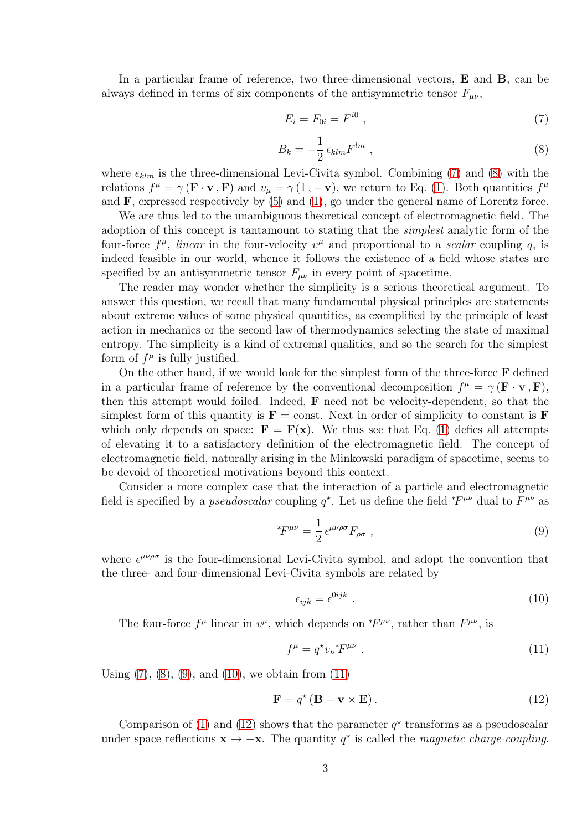In a particular frame of reference, two three-dimensional vectors, E and B, can be always defined in terms of six components of the antisymmetric tensor  $F_{\mu\nu}$ ,

<span id="page-2-0"></span>
$$
E_i = F_{0i} = F^{i0} \t\t(7)
$$

<span id="page-2-1"></span>
$$
B_k = -\frac{1}{2} \epsilon_{klm} F^{lm} \t{,} \t(8)
$$

where  $\epsilon_{klm}$  is the three-dimensional Levi-Civita symbol. Combining [\(7\)](#page-2-0) and [\(8\)](#page-2-1) with the relations  $f^{\mu} = \gamma (\mathbf{F} \cdot \mathbf{v}, \mathbf{F})$  and  $v_{\mu} = \gamma (1, -\mathbf{v})$ , we return to Eq. [\(1\)](#page-0-1). Both quantities  $f^{\mu}$ and  $\bf{F}$ , expressed respectively by [\(5\)](#page-1-1) and [\(1\)](#page-0-1), go under the general name of Lorentz force.

We are thus led to the unambiguous theoretical concept of electromagnetic field. The adoption of this concept is tantamount to stating that the simplest analytic form of the four-force  $f^{\mu}$ , *linear* in the four-velocity  $v^{\mu}$  and proportional to a *scalar* coupling q, is indeed feasible in our world, whence it follows the existence of a field whose states are specified by an antisymmetric tensor  $F_{\mu\nu}$  in every point of spacetime.

The reader may wonder whether the simplicity is a serious theoretical argument. To answer this question, we recall that many fundamental physical principles are statements about extreme values of some physical quantities, as exemplified by the principle of least action in mechanics or the second law of thermodynamics selecting the state of maximal entropy. The simplicity is a kind of extremal qualities, and so the search for the simplest form of  $f^{\mu}$  is fully justified.

On the other hand, if we would look for the simplest form of the three-force  $\bf{F}$  defined in a particular frame of reference by the conventional decomposition  $f^{\mu} = \gamma (\mathbf{F} \cdot \mathbf{v}, \mathbf{F}),$ then this attempt would foiled. Indeed, F need not be velocity-dependent, so that the simplest form of this quantity is  $\mathbf{F} = \text{const.}$  Next in order of simplicity to constant is  $\mathbf{F}$ which only depends on space:  $\mathbf{F} = \mathbf{F}(\mathbf{x})$ . We thus see that Eq. [\(1\)](#page-0-1) defies all attempts of elevating it to a satisfactory definition of the electromagnetic field. The concept of electromagnetic field, naturally arising in the Minkowski paradigm of spacetime, seems to be devoid of theoretical motivations beyond this context.

Consider a more complex case that the interaction of a particle and electromagnetic field is specified by a *pseudoscalar* coupling  $q^*$ . Let us define the field  $*F^{\mu\nu}$  dual to  $F^{\mu\nu}$  as

<span id="page-2-2"></span>
$$
{}^*F^{\mu\nu} = \frac{1}{2} \epsilon^{\mu\nu\rho\sigma} F_{\rho\sigma} \ , \tag{9}
$$

where  $\epsilon^{\mu\nu\rho\sigma}$  is the four-dimensional Levi-Civita symbol, and adopt the convention that the three- and four-dimensional Levi-Civita symbols are related by

<span id="page-2-3"></span>
$$
\epsilon_{ijk} = \epsilon^{0ijk} \tag{10}
$$

The four-force  $f^{\mu}$  linear in  $v^{\mu}$ , which depends on  $*F^{\mu\nu}$ , rather than  $F^{\mu\nu}$ , is

<span id="page-2-4"></span>
$$
f^{\mu} = q^{\star} v_{\nu}^{\ast} F^{\mu \nu} \tag{11}
$$

Using  $(7)$ ,  $(8)$ ,  $(9)$ , and  $(10)$ , we obtain from  $(11)$ 

<span id="page-2-5"></span>
$$
\mathbf{F} = q^{\star} (\mathbf{B} - \mathbf{v} \times \mathbf{E}). \tag{12}
$$

Comparison of [\(1\)](#page-0-1) and [\(12\)](#page-2-5) shows that the parameter  $q^*$  transforms as a pseudoscalar under space reflections  $\mathbf{x} \to -\mathbf{x}$ . The quantity  $q^*$  is called the *magnetic charge-coupling*.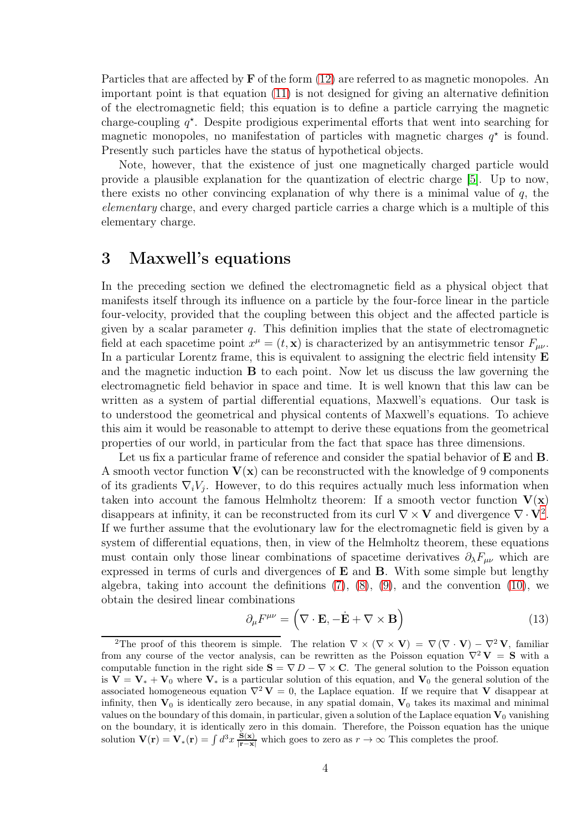Particles that are affected by  $\bf{F}$  of the form [\(12\)](#page-2-5) are referred to as magnetic monopoles. An important point is that equation [\(11\)](#page-2-4) is not designed for giving an alternative definition of the electromagnetic field; this equation is to define a particle carrying the magnetic charge-coupling  $q^*$ . Despite prodigious experimental efforts that went into searching for magnetic monopoles, no manifestation of particles with magnetic charges  $q^*$  is found. Presently such particles have the status of hypothetical objects.

Note, however, that the existence of just one magnetically charged particle would provide a plausible explanation for the quantization of electric charge [\[5\]](#page-8-4). Up to now, there exists no other convincing explanation of why there is a minimal value of  $q$ , the elementary charge, and every charged particle carries a charge which is a multiple of this elementary charge.

## 3 Maxwell's equations

In the preceding section we defined the electromagnetic field as a physical object that manifests itself through its influence on a particle by the four-force linear in the particle four-velocity, provided that the coupling between this object and the affected particle is given by a scalar parameter  $q$ . This definition implies that the state of electromagnetic field at each spacetime point  $x^{\mu} = (t, \mathbf{x})$  is characterized by an antisymmetric tensor  $F_{\mu\nu}$ . In a particular Lorentz frame, this is equivalent to assigning the electric field intensity **E** and the magnetic induction B to each point. Now let us discuss the law governing the electromagnetic field behavior in space and time. It is well known that this law can be written as a system of partial differential equations, Maxwell's equations. Our task is to understood the geometrical and physical contents of Maxwell's equations. To achieve this aim it would be reasonable to attempt to derive these equations from the geometrical properties of our world, in particular from the fact that space has three dimensions.

Let us fix a particular frame of reference and consider the spatial behavior of **E** and **B**. A smooth vector function  $V(x)$  can be reconstructed with the knowledge of 9 components of its gradients  $\nabla_i V_j$ . However, to do this requires actually much less information when taken into account the famous Helmholtz theorem: If a smooth vector function  $V(x)$ disappears at infinity, it can be reconstructed from its curl  $\nabla \times \mathbf{V}$  and divergence  $\nabla \cdot \mathbf{V}^2$  $\nabla \cdot \mathbf{V}^2$ . If we further assume that the evolutionary law for the electromagnetic field is given by a system of differential equations, then, in view of the Helmholtz theorem, these equations must contain only those linear combinations of spacetime derivatives  $\partial_{\lambda}F_{\mu\nu}$  which are expressed in terms of curls and divergences of E and B. With some simple but lengthy algebra, taking into account the definitions  $(7)$ ,  $(8)$ ,  $(9)$ , and the convention  $(10)$ , we obtain the desired linear combinations

<span id="page-3-1"></span>
$$
\partial_{\mu}F^{\mu\nu} = (\nabla \cdot \mathbf{E}, -\dot{\mathbf{E}} + \nabla \times \mathbf{B})
$$
\n(13)

<span id="page-3-0"></span><sup>&</sup>lt;sup>2</sup>The proof of this theorem is simple. The relation  $\nabla \times (\nabla \times \mathbf{V}) = \nabla (\nabla \cdot \mathbf{V}) - \nabla^2 \mathbf{V}$ , familiar from any course of the vector analysis, can be rewritten as the Poisson equation  $\nabla^2 \mathbf{V} = \mathbf{S}$  with a computable function in the right side  $S = \nabla D - \nabla \times C$ . The general solution to the Poisson equation is  $V = V_* + V_0$  where  $V_*$  is a particular solution of this equation, and  $V_0$  the general solution of the associated homogeneous equation  $\nabla^2 V = 0$ , the Laplace equation. If we require that V disappear at infinity, then  $V_0$  is identically zero because, in any spatial domain,  $V_0$  takes its maximal and minimal values on the boundary of this domain, in particular, given a solution of the Laplace equation  $V_0$  vanishing on the boundary, it is identically zero in this domain. Therefore, the Poisson equation has the unique solution  $\mathbf{V}(\mathbf{r}) = \mathbf{V}_{*}(\mathbf{r}) = \int d^{3}x \frac{\mathbf{\dot{S}}(\mathbf{x})}{|\mathbf{r}-\mathbf{x}|}$  which goes to zero as  $r \to \infty$  This completes the proof.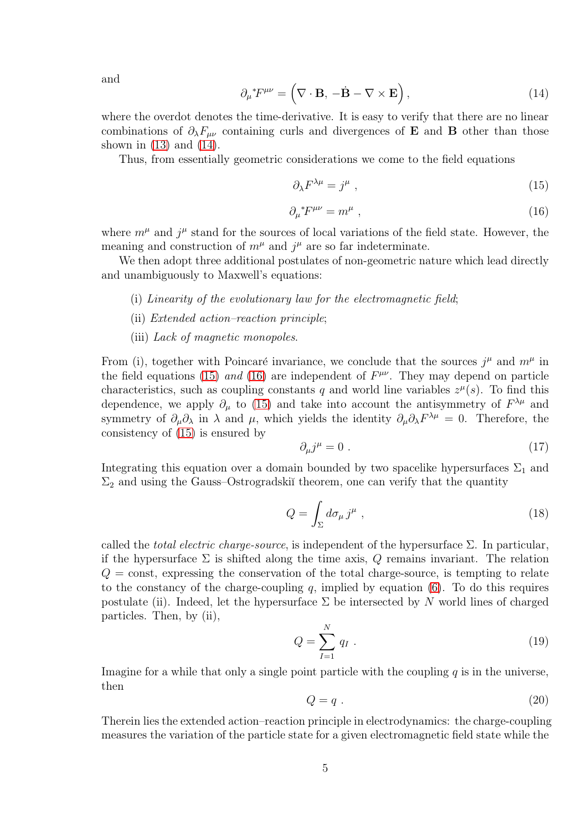and

<span id="page-4-0"></span>
$$
\partial_{\mu}{}^* F^{\mu\nu} = \left( \nabla \cdot \mathbf{B}, -\dot{\mathbf{B}} - \nabla \times \mathbf{E} \right),\tag{14}
$$

where the overdot denotes the time-derivative. It is easy to verify that there are no linear combinations of  $\partial_{\lambda}F_{\mu\nu}$  containing curls and divergences of **E** and **B** other than those shown in  $(13)$  and  $(14)$ .

Thus, from essentially geometric considerations we come to the field equations

<span id="page-4-1"></span>
$$
\partial_{\lambda} F^{\lambda \mu} = j^{\mu} \tag{15}
$$

<span id="page-4-2"></span>
$$
\partial_{\mu}^* F^{\mu\nu} = m^{\mu} \tag{16}
$$

where  $m^{\mu}$  and  $j^{\mu}$  stand for the sources of local variations of the field state. However, the meaning and construction of  $m^{\mu}$  and  $j^{\mu}$  are so far indeterminate.

We then adopt three additional postulates of non-geometric nature which lead directly and unambiguously to Maxwell's equations:

- (i) Linearity of the evolutionary law for the electromagnetic field;
- (ii) Extended action–reaction principle;
- (iii) Lack of magnetic monopoles.

From (i), together with Poincaré invariance, we conclude that the sources  $j^{\mu}$  and  $m^{\mu}$  in the field equations [\(15\)](#page-4-1) and [\(16\)](#page-4-2) are independent of  $F^{\mu\nu}$ . They may depend on particle characteristics, such as coupling constants q and world line variables  $z^{\mu}(s)$ . To find this dependence, we apply  $\partial_{\mu}$  to [\(15\)](#page-4-1) and take into account the antisymmetry of  $F^{\lambda\mu}$  and symmetry of  $\partial_\mu \partial_\lambda$  in  $\lambda$  and  $\mu$ , which yields the identity  $\partial_\mu \partial_\lambda F^{\lambda \mu} = 0$ . Therefore, the consistency of [\(15\)](#page-4-1) is ensured by

$$
\partial_{\mu}j^{\mu} = 0 \tag{17}
$$

Integrating this equation over a domain bounded by two spacelike hypersurfaces  $\Sigma_1$  and  $\Sigma_2$  and using the Gauss–Ostrogradskiĭ theorem, one can verify that the quantity

<span id="page-4-4"></span>
$$
Q = \int_{\Sigma} d\sigma_{\mu} j^{\mu} , \qquad (18)
$$

called the *total electric charge-source*, is independent of the hypersurface  $\Sigma$ . In particular, if the hypersurface  $\Sigma$  is shifted along the time axis, Q remains invariant. The relation  $Q = \text{const}$ , expressing the conservation of the total charge-source, is tempting to relate to the constancy of the charge-coupling  $q$ , implied by equation  $(6)$ . To do this requires postulate (ii). Indeed, let the hypersurface  $\Sigma$  be intersected by N world lines of charged particles. Then, by (ii),

<span id="page-4-3"></span>
$$
Q = \sum_{I=1}^{N} q_I . \t\t(19)
$$

Imagine for a while that only a single point particle with the coupling  $q$  is in the universe, then

$$
Q = q \tag{20}
$$

Therein lies the extended action–reaction principle in electrodynamics: the charge-coupling measures the variation of the particle state for a given electromagnetic field state while the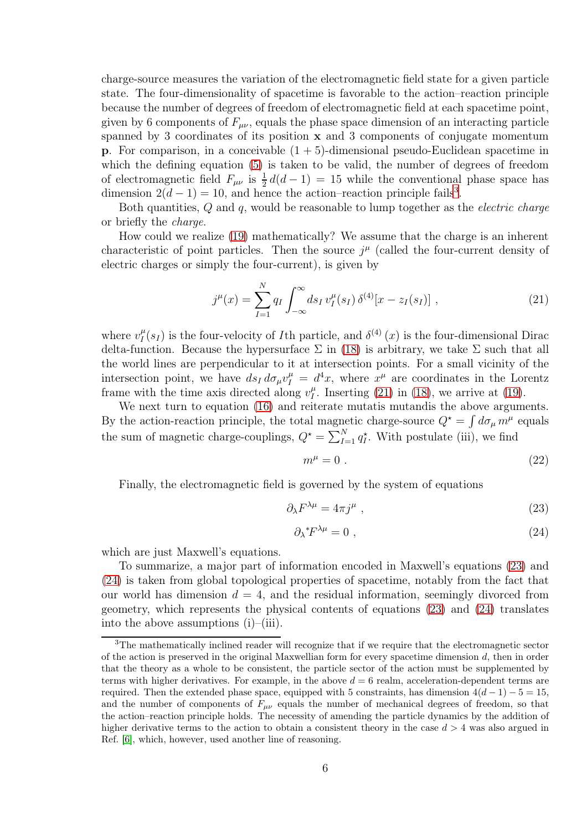charge-source measures the variation of the electromagnetic field state for a given particle state. The four-dimensionality of spacetime is favorable to the action–reaction principle because the number of degrees of freedom of electromagnetic field at each spacetime point, given by 6 components of  $F_{\mu\nu}$ , equals the phase space dimension of an interacting particle spanned by 3 coordinates of its position x and 3 components of conjugate momentum **p**. For comparison, in a conceivable  $(1 + 5)$ -dimensional pseudo-Euclidean spacetime in which the defining equation [\(5\)](#page-1-1) is taken to be valid, the number of degrees of freedom of electromagnetic field  $F_{\mu\nu}$  is  $\frac{1}{2}d(d-1) = 15$  while the conventional phase space has dimension  $2(d-1) = 10$ , and hence the action–reaction principle fails<sup>[3](#page-5-0)</sup>.

Both quantities, Q and q, would be reasonable to lump together as the *electric charge* or briefly the charge.

How could we realize [\(19\)](#page-4-3) mathematically? We assume that the charge is an inherent characteristic of point particles. Then the source  $j^{\mu}$  (called the four-current density of electric charges or simply the four-current), is given by

<span id="page-5-1"></span>
$$
j^{\mu}(x) = \sum_{I=1}^{N} q_I \int_{-\infty}^{\infty} ds_I \, v_I^{\mu}(s_I) \, \delta^{(4)}[x - z_I(s_I)], \qquad (21)
$$

where  $v_I^{\mu}$  $I_I^{\mu}(s_I)$  is the four-velocity of I<sup>th</sup> particle, and  $\delta^{(4)}(x)$  is the four-dimensional Dirac delta-function. Because the hypersurface  $\Sigma$  in [\(18\)](#page-4-4) is arbitrary, we take  $\Sigma$  such that all the world lines are perpendicular to it at intersection points. For a small vicinity of the intersection point, we have  $ds_I d\sigma_\mu v_I^\mu = d^4x$ , where  $x^\mu$  are coordinates in the Lorentz frame with the time axis directed along  $v_I^{\mu}$  $I_I^{\mu}$ . Inserting [\(21\)](#page-5-1) in [\(18\)](#page-4-4), we arrive at [\(19\)](#page-4-3).

We next turn to equation [\(16\)](#page-4-2) and reiterate mutatis mutandis the above arguments. By the action-reaction principle, the total magnetic charge-source  $Q^* = \int d\sigma_\mu m^\mu$  equals the sum of magnetic charge-couplings,  $Q^* = \sum_{I=1}^{N} q_I^*$ . With postulate (iii), we find

$$
m^{\mu} = 0. \tag{22}
$$

Finally, the electromagnetic field is governed by the system of equations

<span id="page-5-2"></span>
$$
\partial_{\lambda} F^{\lambda \mu} = 4\pi j^{\mu} \tag{23}
$$

<span id="page-5-3"></span>
$$
\partial_{\lambda} {}^*F^{\lambda \mu} = 0 \tag{24}
$$

which are just Maxwell's equations.

To summarize, a major part of information encoded in Maxwell's equations [\(23\)](#page-5-2) and [\(24\)](#page-5-3) is taken from global topological properties of spacetime, notably from the fact that our world has dimension  $d = 4$ , and the residual information, seemingly divorced from geometry, which represents the physical contents of equations [\(23\)](#page-5-2) and [\(24\)](#page-5-3) translates into the above assumptions  $(i)$ – $(iii)$ .

<span id="page-5-0"></span><sup>3</sup>The mathematically inclined reader will recognize that if we require that the electromagnetic sector of the action is preserved in the original Maxwellian form for every spacetime dimension d, then in order that the theory as a whole to be consistent, the particle sector of the action must be supplemented by terms with higher derivatives. For example, in the above  $d = 6$  realm, acceleration-dependent terms are required. Then the extended phase space, equipped with 5 constraints, has dimension  $4(d-1) - 5 = 15$ , and the number of components of  $F_{\mu\nu}$  equals the number of mechanical degrees of freedom, so that the action–reaction principle holds. The necessity of amending the particle dynamics by the addition of higher derivative terms to the action to obtain a consistent theory in the case  $d > 4$  was also argued in Ref. [\[6\]](#page-8-5), which, however, used another line of reasoning.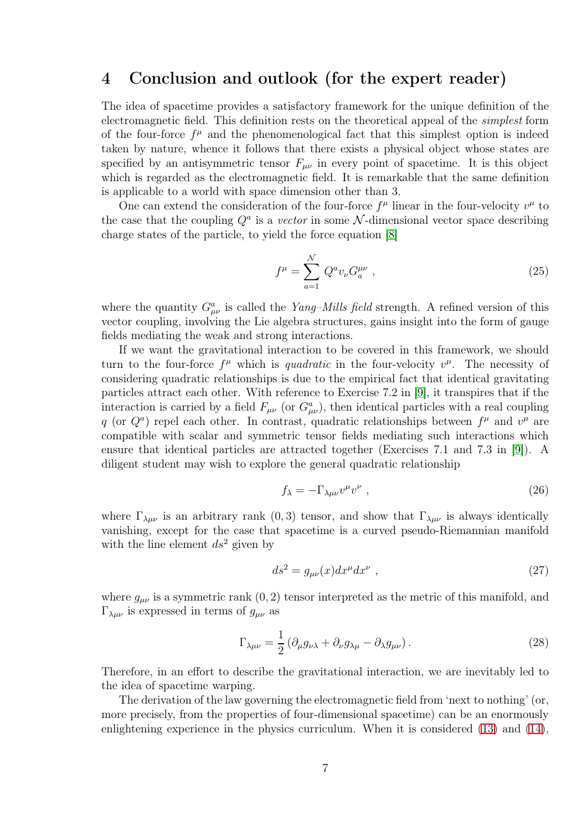#### 4 Conclusion and outlook (for the expert reader)

The idea of spacetime provides a satisfactory framework for the unique definition of the electromagnetic field. This definition rests on the theoretical appeal of the simplest form of the four-force  $f^{\mu}$  and the phenomenological fact that this simplest option is indeed taken by nature, whence it follows that there exists a physical object whose states are specified by an antisymmetric tensor  $F_{\mu\nu}$  in every point of spacetime. It is this object which is regarded as the electromagnetic field. It is remarkable that the same definition is applicable to a world with space dimension other than 3.

One can extend the consideration of the four-force  $f^{\mu}$  linear in the four-velocity  $v^{\mu}$  to the case that the coupling  $Q^a$  is a vector in some N-dimensional vector space describing charge states of the particle, to yield the force equation [\[8\]](#page-8-6)

$$
f^{\mu} = \sum_{a=1}^{N} Q^{a} v_{\nu} G_{a}^{\mu \nu} , \qquad (25)
$$

where the quantity  $G^a_{\mu\nu}$  is called the *Yang–Mills field* strength. A refined version of this vector coupling, involving the Lie algebra structures, gains insight into the form of gauge fields mediating the weak and strong interactions.

If we want the gravitational interaction to be covered in this framework, we should turn to the four-force  $f^{\mu}$  which is *quadratic* in the four-velocity  $v^{\mu}$ . The necessity of considering quadratic relationships is due to the empirical fact that identical gravitating particles attract each other. With reference to Exercise 7.2 in [\[9\]](#page-8-7), it transpires that if the interaction is carried by a field  $F_{\mu\nu}$  (or  $G^a_{\mu\nu}$ ), then identical particles with a real coupling q (or  $Q^a$ ) repel each other. In contrast, quadratic relationships between  $f^{\mu}$  and  $v^{\mu}$  are compatible with scalar and symmetric tensor fields mediating such interactions which ensure that identical particles are attracted together (Exercises 7.1 and 7.3 in [\[9\]](#page-8-7)). A diligent student may wish to explore the general quadratic relationship

$$
f_{\lambda} = -\Gamma_{\lambda\mu\nu}v^{\mu}v^{\nu} \tag{26}
$$

where  $\Gamma_{\lambda\mu\nu}$  is an arbitrary rank  $(0,3)$  tensor, and show that  $\Gamma_{\lambda\mu\nu}$  is always identically vanishing, except for the case that spacetime is a curved pseudo-Riemannian manifold with the line element  $ds^2$  given by

$$
ds^2 = g_{\mu\nu}(x)dx^{\mu}dx^{\nu} \tag{27}
$$

where  $g_{\mu\nu}$  is a symmetric rank  $(0, 2)$  tensor interpreted as the metric of this manifold, and  $\Gamma_{\lambda\mu\nu}$  is expressed in terms of  $g_{\mu\nu}$  as

$$
\Gamma_{\lambda\mu\nu} = \frac{1}{2} \left( \partial_{\mu} g_{\nu\lambda} + \partial_{\nu} g_{\lambda\mu} - \partial_{\lambda} g_{\mu\nu} \right).
$$
 (28)

Therefore, in an effort to describe the gravitational interaction, we are inevitably led to the idea of spacetime warping.

The derivation of the law governing the electromagnetic field from 'next to nothing' (or, more precisely, from the properties of four-dimensional spacetime) can be an enormously enlightening experience in the physics curriculum. When it is considered [\(13\)](#page-3-1) and [\(14\)](#page-4-0),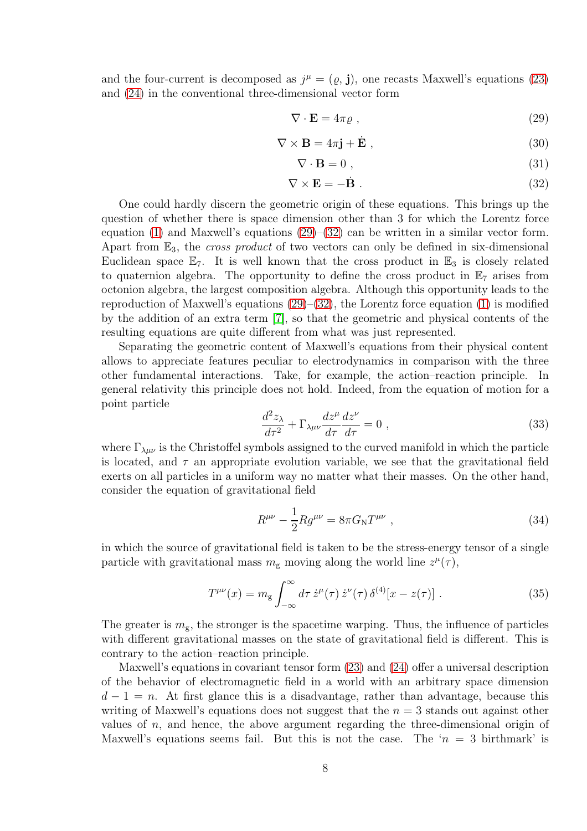and the four-current is decomposed as  $j^{\mu} = (\varrho, \mathbf{j})$ , one recasts Maxwell's equations [\(23\)](#page-5-2) and [\(24\)](#page-5-3) in the conventional three-dimensional vector form

<span id="page-7-0"></span>
$$
\nabla \cdot \mathbf{E} = 4\pi \varrho \tag{29}
$$

$$
\nabla \times \mathbf{B} = 4\pi \mathbf{j} + \dot{\mathbf{E}} \tag{30}
$$

$$
\nabla \cdot \mathbf{B} = 0 \tag{31}
$$

<span id="page-7-1"></span>
$$
\nabla \times \mathbf{E} = -\dot{\mathbf{B}} \tag{32}
$$

One could hardly discern the geometric origin of these equations. This brings up the question of whether there is space dimension other than 3 for which the Lorentz force equation [\(1\)](#page-0-1) and Maxwell's equations  $(29)$ – $(32)$  can be written in a similar vector form. Apart from  $\mathbb{E}_3$ , the *cross product* of two vectors can only be defined in six-dimensional Euclidean space  $\mathbb{E}_7$ . It is well known that the cross product in  $\mathbb{E}_3$  is closely related to quaternion algebra. The opportunity to define the cross product in  $\mathbb{E}_7$  arises from octonion algebra, the largest composition algebra. Although this opportunity leads to the reproduction of Maxwell's equations  $(29)$ – $(32)$ , the Lorentz force equation [\(1\)](#page-0-1) is modified by the addition of an extra term [\[7\]](#page-8-8), so that the geometric and physical contents of the resulting equations are quite different from what was just represented.

Separating the geometric content of Maxwell's equations from their physical content allows to appreciate features peculiar to electrodynamics in comparison with the three other fundamental interactions. Take, for example, the action–reaction principle. In general relativity this principle does not hold. Indeed, from the equation of motion for a point particle

$$
\frac{d^2 z_\lambda}{d\tau^2} + \Gamma_{\lambda\mu\nu}\frac{dz^\mu}{d\tau}\frac{dz^\nu}{d\tau} = 0 \;, \tag{33}
$$

where  $\Gamma_{\lambda\mu\nu}$  is the Christoffel symbols assigned to the curved manifold in which the particle is located, and  $\tau$  an appropriate evolution variable, we see that the gravitational field exerts on all particles in a uniform way no matter what their masses. On the other hand, consider the equation of gravitational field

$$
R^{\mu\nu} - \frac{1}{2} R g^{\mu\nu} = 8\pi G_{\rm N} T^{\mu\nu} \;, \tag{34}
$$

in which the source of gravitational field is taken to be the stress-energy tensor of a single particle with gravitational mass  $m_{\rm g}$  moving along the world line  $z^{\mu}(\tau)$ ,

$$
T^{\mu\nu}(x) = m_g \int_{-\infty}^{\infty} d\tau \,\dot{z}^{\mu}(\tau) \,\dot{z}^{\nu}(\tau) \,\delta^{(4)}[x - z(\tau)]. \tag{35}
$$

The greater is  $m_{\rm g}$ , the stronger is the spacetime warping. Thus, the influence of particles with different gravitational masses on the state of gravitational field is different. This is contrary to the action–reaction principle.

Maxwell's equations in covariant tensor form [\(23\)](#page-5-2) and [\(24\)](#page-5-3) offer a universal description of the behavior of electromagnetic field in a world with an arbitrary space dimension  $d-1 = n$ . At first glance this is a disadvantage, rather than advantage, because this writing of Maxwell's equations does not suggest that the  $n = 3$  stands out against other values of  $n$ , and hence, the above argument regarding the three-dimensional origin of Maxwell's equations seems fail. But this is not the case. The ' $n = 3$  birthmark' is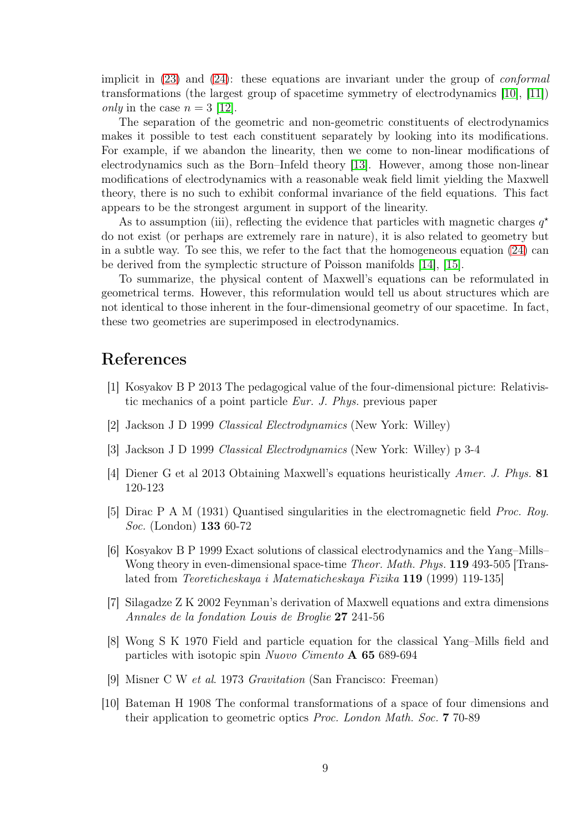implicit in  $(23)$  and  $(24)$ : these equations are invariant under the group of *conformal* transformations (the largest group of spacetime symmetry of electrodynamics [\[10\]](#page-8-9), [\[11\]](#page-9-0)) *only* in the case  $n = 3$  [\[12\]](#page-9-1).

The separation of the geometric and non-geometric constituents of electrodynamics makes it possible to test each constituent separately by looking into its modifications. For example, if we abandon the linearity, then we come to non-linear modifications of electrodynamics such as the Born–Infeld theory [\[13\]](#page-9-2). However, among those non-linear modifications of electrodynamics with a reasonable weak field limit yielding the Maxwell theory, there is no such to exhibit conformal invariance of the field equations. This fact appears to be the strongest argument in support of the linearity.

As to assumption (iii), reflecting the evidence that particles with magnetic charges  $q^*$ do not exist (or perhaps are extremely rare in nature), it is also related to geometry but in a subtle way. To see this, we refer to the fact that the homogeneous equation [\(24\)](#page-5-3) can be derived from the symplectic structure of Poisson manifolds [\[14\]](#page-9-3), [\[15\]](#page-9-4).

To summarize, the physical content of Maxwell's equations can be reformulated in geometrical terms. However, this reformulation would tell us about structures which are not identical to those inherent in the four-dimensional geometry of our spacetime. In fact, these two geometries are superimposed in electrodynamics.

## <span id="page-8-0"></span>References

- <span id="page-8-1"></span>[1] Kosyakov B P 2013 The pedagogical value of the four-dimensional picture: Relativistic mechanics of a point particle Eur. J. Phys. previous paper
- <span id="page-8-2"></span>[2] Jackson J D 1999 Classical Electrodynamics (New York: Willey)
- <span id="page-8-3"></span>[3] Jackson J D 1999 Classical Electrodynamics (New York: Willey) p 3-4
- <span id="page-8-4"></span>[4] Diener G et al 2013 Obtaining Maxwell's equations heuristically Amer. J. Phys. 81 120-123
- <span id="page-8-5"></span>[5] Dirac P A M (1931) Quantised singularities in the electromagnetic field Proc. Roy. Soc. (London) 133 60-72
- [6] Kosyakov B P 1999 Exact solutions of classical electrodynamics and the Yang–Mills– Wong theory in even-dimensional space-time *Theor. Math. Phys.* **119** 493-505 [Translated from Teoreticheskaya i Matematicheskaya Fizika 119 (1999) 119-135]
- <span id="page-8-8"></span><span id="page-8-6"></span>[7] Silagadze Z K 2002 Feynman's derivation of Maxwell equations and extra dimensions Annales de la fondation Louis de Broglie 27 241-56
- [8] Wong S K 1970 Field and particle equation for the classical Yang–Mills field and particles with isotopic spin Nuovo Cimento A 65 689-694
- <span id="page-8-9"></span><span id="page-8-7"></span>[9] Misner C W et al. 1973 Gravitation (San Francisco: Freeman)
- [10] Bateman H 1908 The conformal transformations of a space of four dimensions and their application to geometric optics Proc. London Math. Soc. 7 70-89